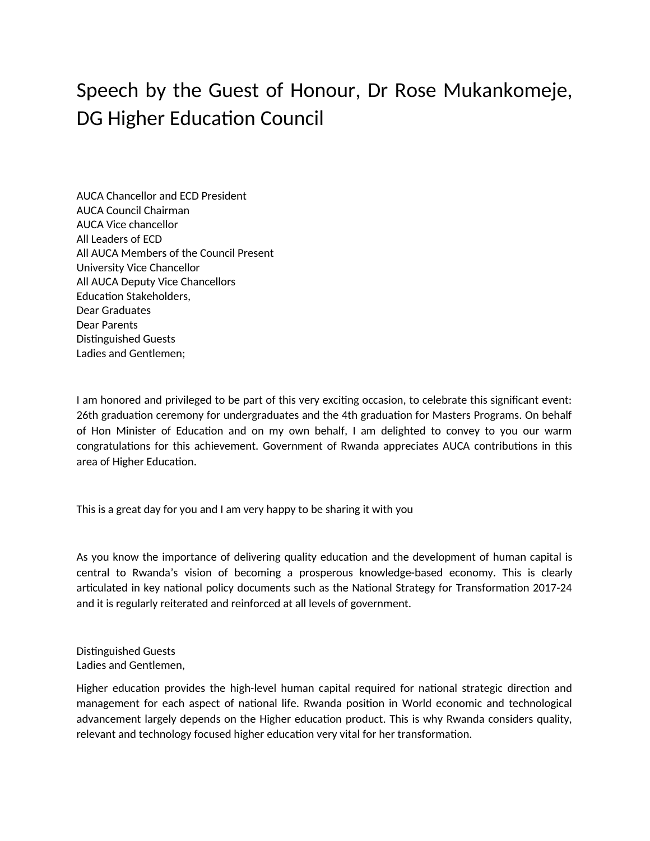## Speech by the Guest of Honour, Dr Rose Mukankomeje, DG Higher Education Council

AUCA Chancellor and ECD President AUCA Council Chairman AUCA Vice chancellor All Leaders of ECD All AUCA Members of the Council Present University Vice Chancellor All AUCA Deputy Vice Chancellors Education Stakeholders, Dear Graduates Dear Parents Distinguished Guests Ladies and Gentlemen;

I am honored and privileged to be part of this very exciting occasion, to celebrate this significant event: 26th graduation ceremony for undergraduates and the 4th graduation for Masters Programs. On behalf of Hon Minister of Education and on my own behalf, I am delighted to convey to you our warm congratulations for this achievement. Government of Rwanda appreciates AUCA contributions in this area of Higher Education.

This is a great day for you and I am very happy to be sharing it with you

As you know the importance of delivering quality education and the development of human capital is central to Rwanda's vision of becoming a prosperous knowledge-based economy. This is clearly articulated in key national policy documents such as the National Strategy for Transformation 2017-24 and it is regularly reiterated and reinforced at all levels of government.

Distinguished Guests Ladies and Gentlemen,

Higher education provides the high-level human capital required for national strategic direction and management for each aspect of national life. Rwanda position in World economic and technological advancement largely depends on the Higher education product. This is why Rwanda considers quality, relevant and technology focused higher education very vital for her transformation.